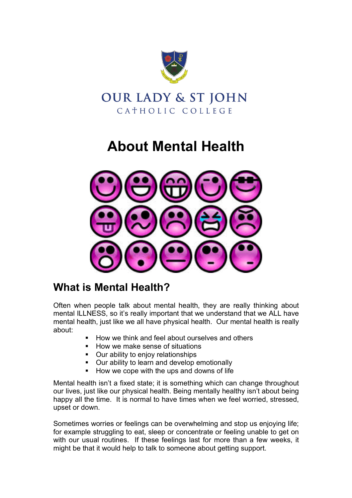



## **About Mental Health**



## **What is Mental Health?**

Often when people talk about mental health, they are really thinking about mental ILLNESS, so it's really important that we understand that we ALL have mental health, just like we all have physical health. Our mental health is really about:

- How we think and feel about ourselves and others
- How we make sense of situations
- **Our ability to enjoy relationships**
- **Dur ability to learn and develop emotionally**
- How we cope with the ups and downs of life

Mental health isn't a fixed state; it is something which can change throughout our lives, just like our physical health. Being mentally healthy isn't about being happy all the time. It is normal to have times when we feel worried, stressed, upset or down.

Sometimes worries or feelings can be overwhelming and stop us enjoying life; for example struggling to eat, sleep or concentrate or feeling unable to get on with our usual routines. If these feelings last for more than a few weeks, it might be that it would help to talk to someone about getting support.